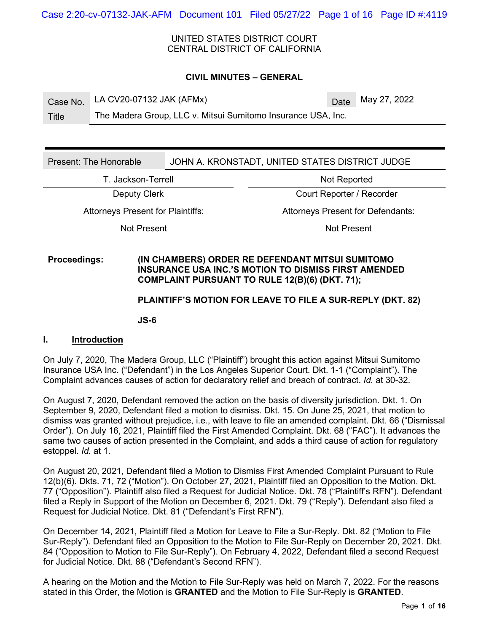UNITED STATES DISTRICT COURT CENTRAL DISTRICT OF CALIFORNIA

#### **CIVIL MINUTES – GENERAL**

Case No. LA CV20-07132 JAK  $(AFMx)$  Date May 27, 2022

Title The Madera Group, LLC v. Mitsui Sumitomo Insurance USA, Inc.

Present: The Honorable JOHN A. KRONSTADT, UNITED STATES DISTRICT JUDGE

T. Jackson-Terrell **Not Reported** 

Deputy Clerk Court Reporter / Recorder

Not Present Not Present

Attorneys Present for Plaintiffs: Attorneys Present for Defendants:

## **Proceedings: (IN CHAMBERS) ORDER RE DEFENDANT MITSUI SUMITOMO INSURANCE USA INC.'S MOTION TO DISMISS FIRST AMENDED COMPLAINT PURSUANT TO RULE 12(B)(6) (DKT. 71);**

## **PLAINTIFF'S MOTION FOR LEAVE TO FILE A SUR-REPLY (DKT. 82)**

**JS-6**

#### **I. Introduction**

On July 7, 2020, The Madera Group, LLC ("Plaintiff") brought this action against Mitsui Sumitomo Insurance USA Inc. ("Defendant") in the Los Angeles Superior Court. Dkt. 1-1 ("Complaint"). The Complaint advances causes of action for declaratory relief and breach of contract. *Id.* at 30-32.

On August 7, 2020, Defendant removed the action on the basis of diversity jurisdiction. Dkt. 1. On September 9, 2020, Defendant filed a motion to dismiss. Dkt. 15. On June 25, 2021, that motion to dismiss was granted without prejudice, i.e., with leave to file an amended complaint. Dkt. 66 ("Dismissal Order"). On July 16, 2021, Plaintiff filed the First Amended Complaint. Dkt. 68 ("FAC"). It advances the same two causes of action presented in the Complaint, and adds a third cause of action for regulatory estoppel. *Id.* at 1.

On August 20, 2021, Defendant filed a Motion to Dismiss First Amended Complaint Pursuant to Rule 12(b)(6). Dkts. 71, 72 ("Motion"). On October 27, 2021, Plaintiff filed an Opposition to the Motion. Dkt. 77 ("Opposition"). Plaintiff also filed a Request for Judicial Notice. Dkt. 78 ("Plaintiff's RFN"). Defendant filed a Reply in Support of the Motion on December 6, 2021. Dkt. 79 ("Reply"). Defendant also filed a Request for Judicial Notice. Dkt. 81 ("Defendant's First RFN").

On December 14, 2021, Plaintiff filed a Motion for Leave to File a Sur-Reply. Dkt. 82 ("Motion to File Sur-Reply"). Defendant filed an Opposition to the Motion to File Sur-Reply on December 20, 2021. Dkt. 84 ("Opposition to Motion to File Sur-Reply"). On February 4, 2022, Defendant filed a second Request for Judicial Notice. Dkt. 88 ("Defendant's Second RFN").

A hearing on the Motion and the Motion to File Sur-Reply was held on March 7, 2022. For the reasons stated in this Order, the Motion is **GRANTED** and the Motion to File Sur-Reply is **GRANTED**.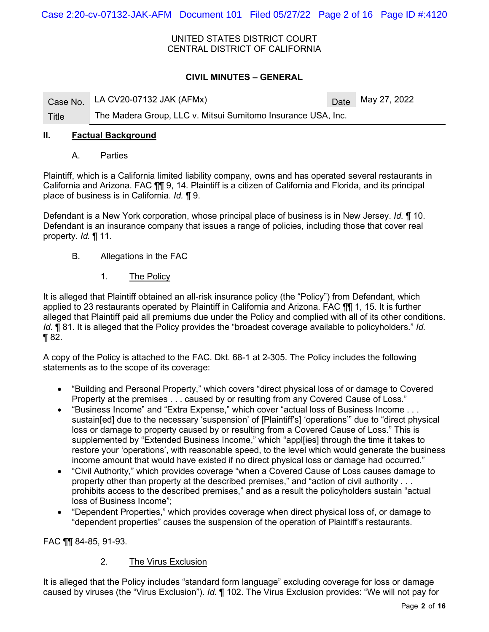Case 2:20-cv-07132-JAK-AFM Document 101 Filed 05/27/22 Page 2 of 16 Page ID #:4120

UNITED STATES DISTRICT COURT CENTRAL DISTRICT OF CALIFORNIA

## **CIVIL MINUTES – GENERAL**

|       | Case No. LA CV20-07132 JAK (AFMx)                            | $\sqrt{\text{Date}}$ May 27, 2022 |
|-------|--------------------------------------------------------------|-----------------------------------|
| Title | The Madera Group, LLC v. Mitsui Sumitomo Insurance USA, Inc. |                                   |

#### **II. Factual Background**

A. Parties

Plaintiff, which is a California limited liability company, owns and has operated several restaurants in California and Arizona. FAC ¶¶ 9, 14. Plaintiff is a citizen of California and Florida, and its principal place of business is in California. *Id.* ¶ 9.

Defendant is a New York corporation, whose principal place of business is in New Jersey. *Id.* ¶ 10. Defendant is an insurance company that issues a range of policies, including those that cover real property. *Id.* ¶ 11.

- B. Allegations in the FAC
	- 1. The Policy

It is alleged that Plaintiff obtained an all-risk insurance policy (the "Policy") from Defendant, which applied to 23 restaurants operated by Plaintiff in California and Arizona. FAC ¶¶ 1, 15. It is further alleged that Plaintiff paid all premiums due under the Policy and complied with all of its other conditions. *Id.* ¶ 81. It is alleged that the Policy provides the "broadest coverage available to policyholders." *Id.*  ¶ 82.

A copy of the Policy is attached to the FAC. Dkt. 68-1 at 2-305. The Policy includes the following statements as to the scope of its coverage:

- "Building and Personal Property," which covers "direct physical loss of or damage to Covered Property at the premises . . . caused by or resulting from any Covered Cause of Loss."
- "Business Income" and "Extra Expense," which cover "actual loss of Business Income . . . sustain[ed] due to the necessary 'suspension' of [Plaintiff's] 'operations'" due to "direct physical loss or damage to property caused by or resulting from a Covered Cause of Loss." This is supplemented by "Extended Business Income," which "appl[ies] through the time it takes to restore your 'operations', with reasonable speed, to the level which would generate the business income amount that would have existed if no direct physical loss or damage had occurred."
- "Civil Authority," which provides coverage "when a Covered Cause of Loss causes damage to property other than property at the described premises," and "action of civil authority . . . prohibits access to the described premises," and as a result the policyholders sustain "actual loss of Business Income";
- "Dependent Properties," which provides coverage when direct physical loss of, or damage to "dependent properties" causes the suspension of the operation of Plaintiff's restaurants.

FAC ¶¶ 84-85, 91-93.

## 2. The Virus Exclusion

It is alleged that the Policy includes "standard form language" excluding coverage for loss or damage caused by viruses (the "Virus Exclusion"). *Id.* ¶ 102. The Virus Exclusion provides: "We will not pay for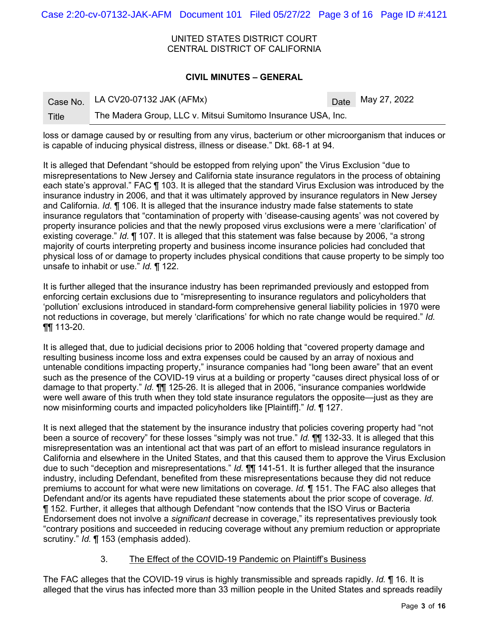Case 2:20-cv-07132-JAK-AFM Document 101 Filed 05/27/22 Page 3 of 16 Page ID #:4121

UNITED STATES DISTRICT COURT CENTRAL DISTRICT OF CALIFORNIA

#### **CIVIL MINUTES – GENERAL**

|       | Case No. LA CV20-07132 JAK (AFMx)                            | Date May 27, 2022 |
|-------|--------------------------------------------------------------|-------------------|
| Title | The Madera Group, LLC v. Mitsui Sumitomo Insurance USA, Inc. |                   |

loss or damage caused by or resulting from any virus, bacterium or other microorganism that induces or is capable of inducing physical distress, illness or disease." Dkt. 68-1 at 94.

It is alleged that Defendant "should be estopped from relying upon" the Virus Exclusion "due to misrepresentations to New Jersey and California state insurance regulators in the process of obtaining each state's approval." FAC ¶ 103. It is alleged that the standard Virus Exclusion was introduced by the insurance industry in 2006, and that it was ultimately approved by insurance regulators in New Jersey and California. *Id.* ¶ 106. It is alleged that the insurance industry made false statements to state insurance regulators that "contamination of property with 'disease-causing agents' was not covered by property insurance policies and that the newly proposed virus exclusions were a mere 'clarification' of existing coverage." *Id.* ¶ 107. It is alleged that this statement was false because by 2006, "a strong majority of courts interpreting property and business income insurance policies had concluded that physical loss of or damage to property includes physical conditions that cause property to be simply too unsafe to inhabit or use." *Id.* ¶ 122.

It is further alleged that the insurance industry has been reprimanded previously and estopped from enforcing certain exclusions due to "misrepresenting to insurance regulators and policyholders that 'pollution' exclusions introduced in standard-form comprehensive general liability policies in 1970 were not reductions in coverage, but merely 'clarifications' for which no rate change would be required." *Id.* ¶¶ 113-20.

It is alleged that, due to judicial decisions prior to 2006 holding that "covered property damage and resulting business income loss and extra expenses could be caused by an array of noxious and untenable conditions impacting property," insurance companies had "long been aware" that an event such as the presence of the COVID-19 virus at a building or property "causes direct physical loss of or damage to that property." *Id.* ¶¶ 125-26. It is alleged that in 2006, "insurance companies worldwide were well aware of this truth when they told state insurance regulators the opposite—just as they are now misinforming courts and impacted policyholders like [Plaintiff]." *Id.* ¶ 127.

It is next alleged that the statement by the insurance industry that policies covering property had "not been a source of recovery" for these losses "simply was not true." *Id.* ¶¶ 132-33. It is alleged that this misrepresentation was an intentional act that was part of an effort to mislead insurance regulators in California and elsewhere in the United States, and that this caused them to approve the Virus Exclusion due to such "deception and misrepresentations." *Id.* ¶¶ 141-51. It is further alleged that the insurance industry, including Defendant, benefited from these misrepresentations because they did not reduce premiums to account for what were new limitations on coverage. *Id.* ¶ 151. The FAC also alleges that Defendant and/or its agents have repudiated these statements about the prior scope of coverage. *Id.*  ¶ 152. Further, it alleges that although Defendant "now contends that the ISO Virus or Bacteria Endorsement does not involve a *significant* decrease in coverage," its representatives previously took "contrary positions and succeeded in reducing coverage without any premium reduction or appropriate scrutiny." *Id.* ¶ 153 (emphasis added).

# 3. The Effect of the COVID-19 Pandemic on Plaintiff's Business

The FAC alleges that the COVID-19 virus is highly transmissible and spreads rapidly. *Id.* ¶ 16. It is alleged that the virus has infected more than 33 million people in the United States and spreads readily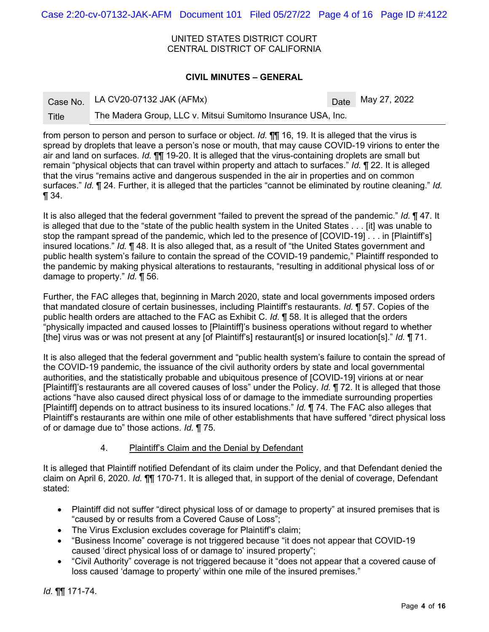Case 2:20-cv-07132-JAK-AFM Document 101 Filed 05/27/22 Page 4 of 16 Page ID #:4122

UNITED STATES DISTRICT COURT CENTRAL DISTRICT OF CALIFORNIA

#### **CIVIL MINUTES – GENERAL**

|       | Case No. LA CV20-07132 JAK (AFMx)                            | Date May 27, 2022 |
|-------|--------------------------------------------------------------|-------------------|
| Title | The Madera Group, LLC v. Mitsui Sumitomo Insurance USA, Inc. |                   |

from person to person and person to surface or object. *Id.* ¶¶ 16, 19. It is alleged that the virus is spread by droplets that leave a person's nose or mouth, that may cause COVID-19 virions to enter the air and land on surfaces. *Id.* ¶¶ 19-20. It is alleged that the virus-containing droplets are small but remain "physical objects that can travel within property and attach to surfaces." *Id.* ¶ 22. It is alleged that the virus "remains active and dangerous suspended in the air in properties and on common surfaces." *Id.* ¶ 24. Further, it is alleged that the particles "cannot be eliminated by routine cleaning." *Id.* ¶ 34.

It is also alleged that the federal government "failed to prevent the spread of the pandemic." *Id.* ¶ 47. It is alleged that due to the "state of the public health system in the United States . . . [it] was unable to stop the rampant spread of the pandemic, which led to the presence of [COVID-19] . . . in [Plaintiff's] insured locations." *Id.* ¶ 48. It is also alleged that, as a result of "the United States government and public health system's failure to contain the spread of the COVID-19 pandemic," Plaintiff responded to the pandemic by making physical alterations to restaurants, "resulting in additional physical loss of or damage to property." *Id.* ¶ 56.

Further, the FAC alleges that, beginning in March 2020, state and local governments imposed orders that mandated closure of certain businesses, including Plaintiff's restaurants. *Id.* ¶ 57. Copies of the public health orders are attached to the FAC as Exhibit C. *Id.* ¶ 58. It is alleged that the orders "physically impacted and caused losses to [Plaintiff]'s business operations without regard to whether [the] virus was or was not present at any [of Plaintiff's] restaurant[s] or insured location[s]." *Id.* ¶ 71.

It is also alleged that the federal government and "public health system's failure to contain the spread of the COVID-19 pandemic, the issuance of the civil authority orders by state and local governmental authorities, and the statistically probable and ubiquitous presence of [COVID-19] virions at or near [Plaintiff]'s restaurants are all covered causes of loss" under the Policy. *Id.* ¶ 72. It is alleged that those actions "have also caused direct physical loss of or damage to the immediate surrounding properties [Plaintiff] depends on to attract business to its insured locations." *Id.* ¶ 74. The FAC also alleges that Plaintiff's restaurants are within one mile of other establishments that have suffered "direct physical loss of or damage due to" those actions. *Id.* ¶ 75.

# 4. Plaintiff's Claim and the Denial by Defendant

It is alleged that Plaintiff notified Defendant of its claim under the Policy, and that Defendant denied the claim on April 6, 2020. *Id.* ¶¶ 170-71. It is alleged that, in support of the denial of coverage, Defendant stated:

- Plaintiff did not suffer "direct physical loss of or damage to property" at insured premises that is "caused by or results from a Covered Cause of Loss";
- The Virus Exclusion excludes coverage for Plaintiff's claim;
- "Business Income" coverage is not triggered because "it does not appear that COVID-19 caused 'direct physical loss of or damage to' insured property";
- "Civil Authority" coverage is not triggered because it "does not appear that a covered cause of loss caused 'damage to property' within one mile of the insured premises."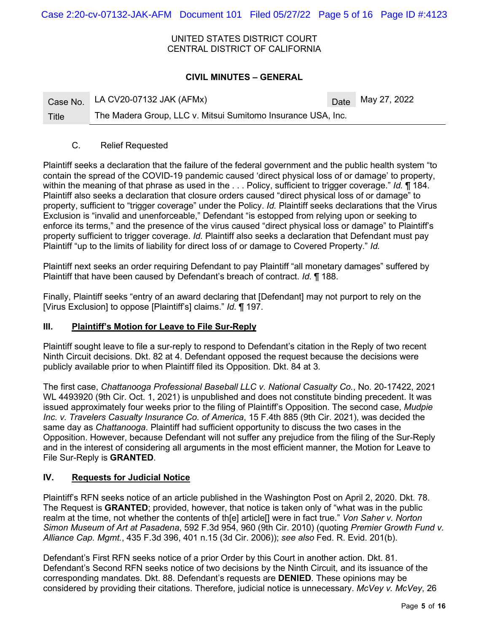Case 2:20-cv-07132-JAK-AFM Document 101 Filed 05/27/22 Page 5 of 16 Page ID #:4123

UNITED STATES DISTRICT COURT CENTRAL DISTRICT OF CALIFORNIA

## **CIVIL MINUTES – GENERAL**

|       | Case No. LA CV20-07132 JAK (AFMx)                            | $\Delta$ Date May 27, 2022 |
|-------|--------------------------------------------------------------|----------------------------|
| Title | The Madera Group, LLC v. Mitsui Sumitomo Insurance USA, Inc. |                            |

#### C. Relief Requested

Plaintiff seeks a declaration that the failure of the federal government and the public health system "to contain the spread of the COVID-19 pandemic caused 'direct physical loss of or damage' to property, within the meaning of that phrase as used in the . . . Policy, sufficient to trigger coverage." *Id.* ¶ 184. Plaintiff also seeks a declaration that closure orders caused "direct physical loss of or damage" to property, sufficient to "trigger coverage" under the Policy. *Id.* Plaintiff seeks declarations that the Virus Exclusion is "invalid and unenforceable," Defendant "is estopped from relying upon or seeking to enforce its terms," and the presence of the virus caused "direct physical loss or damage" to Plaintiff's property sufficient to trigger coverage. *Id.* Plaintiff also seeks a declaration that Defendant must pay Plaintiff "up to the limits of liability for direct loss of or damage to Covered Property." *Id.*

Plaintiff next seeks an order requiring Defendant to pay Plaintiff "all monetary damages" suffered by Plaintiff that have been caused by Defendant's breach of contract. *Id.* ¶ 188.

Finally, Plaintiff seeks "entry of an award declaring that [Defendant] may not purport to rely on the [Virus Exclusion] to oppose [Plaintiff's] claims." *Id.* ¶ 197.

# **III. Plaintiff's Motion for Leave to File Sur-Reply**

Plaintiff sought leave to file a sur-reply to respond to Defendant's citation in the Reply of two recent Ninth Circuit decisions. Dkt. 82 at 4. Defendant opposed the request because the decisions were publicly available prior to when Plaintiff filed its Opposition. Dkt. 84 at 3.

The first case, *Chattanooga Professional Baseball LLC v. National Casualty Co.*, No. 20-17422, 2021 WL 4493920 (9th Cir. Oct. 1, 2021) is unpublished and does not constitute binding precedent. It was issued approximately four weeks prior to the filing of Plaintiff's Opposition. The second case, *Mudpie Inc. v. Travelers Casualty Insurance Co. of America*, 15 F.4th 885 (9th Cir. 2021), was decided the same day as *Chattanooga*. Plaintiff had sufficient opportunity to discuss the two cases in the Opposition. However, because Defendant will not suffer any prejudice from the filing of the Sur-Reply and in the interest of considering all arguments in the most efficient manner, the Motion for Leave to File Sur-Reply is **GRANTED**.

# **IV. Requests for Judicial Notice**

Plaintiff's RFN seeks notice of an article published in the Washington Post on April 2, 2020. Dkt. 78. The Request is **GRANTED**; provided, however, that notice is taken only of "what was in the public realm at the time, not whether the contents of th[e] article[] were in fact true." *Von Saher v. Norton Simon Museum of Art at Pasadena*, 592 F.3d 954, 960 (9th Cir. 2010) (quoting *Premier Growth Fund v. Alliance Cap. Mgmt.*, 435 F.3d 396, 401 n.15 (3d Cir. 2006)); *see also* Fed. R. Evid. 201(b).

Defendant's First RFN seeks notice of a prior Order by this Court in another action. Dkt. 81. Defendant's Second RFN seeks notice of two decisions by the Ninth Circuit, and its issuance of the corresponding mandates. Dkt. 88. Defendant's requests are **DENIED**. These opinions may be considered by providing their citations. Therefore, judicial notice is unnecessary. *McVey v. McVey*, 26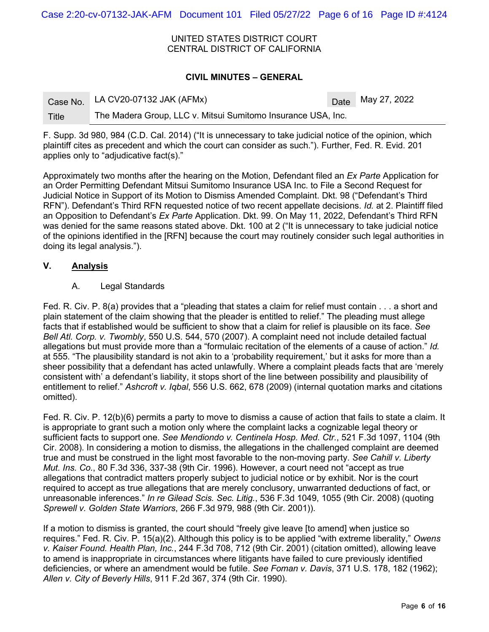Case 2:20-cv-07132-JAK-AFM Document 101 Filed 05/27/22 Page 6 of 16 Page ID #:4124

UNITED STATES DISTRICT COURT CENTRAL DISTRICT OF CALIFORNIA

#### **CIVIL MINUTES – GENERAL**

|       | Case No. LA CV20-07132 JAK (AFMx)                            | Date May 27, 2022 |
|-------|--------------------------------------------------------------|-------------------|
| Title | The Madera Group, LLC v. Mitsui Sumitomo Insurance USA, Inc. |                   |

F. Supp. 3d 980, 984 (C.D. Cal. 2014) ("It is unnecessary to take judicial notice of the opinion, which plaintiff cites as precedent and which the court can consider as such."). Further, Fed. R. Evid. 201 applies only to "adjudicative fact(s)."

Approximately two months after the hearing on the Motion, Defendant filed an *Ex Parte* Application for an Order Permitting Defendant Mitsui Sumitomo Insurance USA Inc. to File a Second Request for Judicial Notice in Support of its Motion to Dismiss Amended Complaint. Dkt. 98 ("Defendant's Third RFN"). Defendant's Third RFN requested notice of two recent appellate decisions. *Id.* at 2. Plaintiff filed an Opposition to Defendant's *Ex Parte* Application. Dkt. 99. On May 11, 2022, Defendant's Third RFN was denied for the same reasons stated above. Dkt. 100 at 2 ("It is unnecessary to take judicial notice of the opinions identified in the [RFN] because the court may routinely consider such legal authorities in doing its legal analysis.").

#### **V. Analysis**

A. Legal Standards

Fed. R. Civ. P. 8(a) provides that a "pleading that states a claim for relief must contain . . . a short and plain statement of the claim showing that the pleader is entitled to relief." The pleading must allege facts that if established would be sufficient to show that a claim for relief is plausible on its face. *See Bell Atl. Corp. v. Twombly*, 550 U.S. 544, 570 (2007). A complaint need not include detailed factual allegations but must provide more than a "formulaic recitation of the elements of a cause of action." *Id.*  at 555. "The plausibility standard is not akin to a 'probability requirement,' but it asks for more than a sheer possibility that a defendant has acted unlawfully. Where a complaint pleads facts that are 'merely consistent with' a defendant's liability, it stops short of the line between possibility and plausibility of entitlement to relief." *Ashcroft v. Iqbal*, 556 U.S. 662, 678 (2009) (internal quotation marks and citations omitted).

Fed. R. Civ. P. 12(b)(6) permits a party to move to dismiss a cause of action that fails to state a claim. It is appropriate to grant such a motion only where the complaint lacks a cognizable legal theory or sufficient facts to support one. *See Mendiondo v. Centinela Hosp. Med. Ctr.*, 521 F.3d 1097, 1104 (9th Cir. 2008). In considering a motion to dismiss, the allegations in the challenged complaint are deemed true and must be construed in the light most favorable to the non-moving party. *See Cahill v. Liberty Mut. Ins. Co.*, 80 F.3d 336, 337-38 (9th Cir. 1996). However, a court need not "accept as true allegations that contradict matters properly subject to judicial notice or by exhibit. Nor is the court required to accept as true allegations that are merely conclusory, unwarranted deductions of fact, or unreasonable inferences." *In re Gilead Scis. Sec. Litig.*, 536 F.3d 1049, 1055 (9th Cir. 2008) (quoting *Sprewell v. Golden State Warriors*, 266 F.3d 979, 988 (9th Cir. 2001)).

If a motion to dismiss is granted, the court should "freely give leave [to amend] when justice so requires." Fed. R. Civ. P. 15(a)(2). Although this policy is to be applied "with extreme liberality," *Owens v. Kaiser Found. Health Plan, Inc.*, 244 F.3d 708, 712 (9th Cir. 2001) (citation omitted), allowing leave to amend is inappropriate in circumstances where litigants have failed to cure previously identified deficiencies, or where an amendment would be futile. *See Foman v. Davis*, 371 U.S. 178, 182 (1962); *Allen v. City of Beverly Hills*, 911 F.2d 367, 374 (9th Cir. 1990).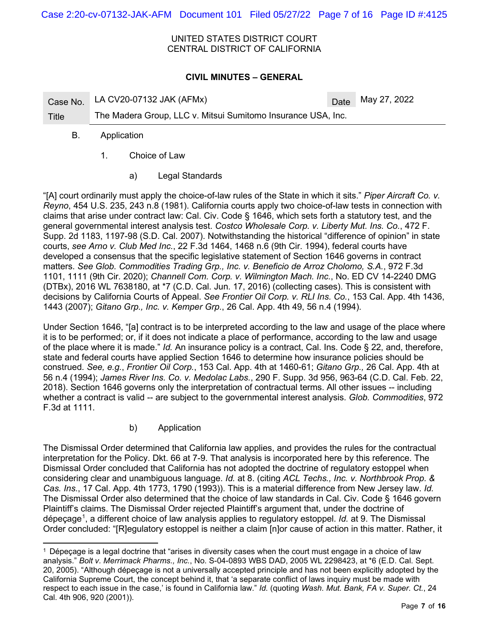#### UNITED STATES DISTRICT COURT CENTRAL DISTRICT OF CALIFORNIA

# **CIVIL MINUTES – GENERAL**

Case No. LA CV20-07132 JAK (AFMx)  $Date$  Date May 27, 2022

Title The Madera Group, LLC v. Mitsui Sumitomo Insurance USA, Inc.

# B. Application

- 1. Choice of Law
	- a) Legal Standards

"[A] court ordinarily must apply the choice-of-law rules of the State in which it sits." *Piper Aircraft Co. v. Reyno*, 454 U.S. 235, 243 n.8 (1981). California courts apply two choice-of-law tests in connection with claims that arise under contract law: Cal. Civ. Code § 1646, which sets forth a statutory test, and the general governmental interest analysis test. *Costco Wholesale Corp. v. Liberty Mut. Ins. Co.*, 472 F. Supp. 2d 1183, 1197-98 (S.D. Cal. 2007). Notwithstanding the historical "difference of opinion" in state courts, *see Arno v. Club Med Inc.*, 22 F.3d 1464, 1468 n.6 (9th Cir. 1994), federal courts have developed a consensus that the specific legislative statement of Section 1646 governs in contract matters. *See Glob. Commodities Trading Grp., Inc. v. Beneficio de Arroz Cholomo, S.A.*, 972 F.3d 1101, 1111 (9th Cir. 2020); *Channell Com. Corp. v. Wilmington Mach. Inc.*, No. ED CV 14-2240 DMG (DTBx), 2016 WL 7638180, at \*7 (C.D. Cal. Jun. 17, 2016) (collecting cases). This is consistent with decisions by California Courts of Appeal. *See Frontier Oil Corp. v. RLI Ins. Co.*, 153 Cal. App. 4th 1436, 1443 (2007); *Gitano Grp., Inc. v. Kemper Grp.*, 26 Cal. App. 4th 49, 56 n.4 (1994).

Under Section 1646, "[a] contract is to be interpreted according to the law and usage of the place where it is to be performed; or, if it does not indicate a place of performance, according to the law and usage of the place where it is made." *Id.* An insurance policy is a contract, Cal. Ins. Code § 22, and, therefore, state and federal courts have applied Section 1646 to determine how insurance policies should be construed. *See, e.g.*, *Frontier Oil Corp.*, 153 Cal. App. 4th at 1460-61; *Gitano Grp.,* 26 Cal. App. 4th at 56 n.4 (1994); *James River Ins. Co. v. Medolac Labs.*, 290 F. Supp. 3d 956, 963-64 (C.D. Cal. Feb. 22, 2018). Section 1646 governs only the interpretation of contractual terms. All other issues -- including whether a contract is valid -- are subject to the governmental interest analysis. *Glob. Commodities*, 972 F.3d at 1111.

b) Application

The Dismissal Order determined that California law applies, and provides the rules for the contractual interpretation for the Policy. Dkt. 66 at 7-9. That analysis is incorporated here by this reference. The Dismissal Order concluded that California has not adopted the doctrine of regulatory estoppel when considering clear and unambiguous language. *Id.* at 8. (citing *ACL Techs., Inc. v. Northbrook Prop. & Cas. Ins.*, 17 Cal. App. 4th 1773, 1790 (1993)). This is a material difference from New Jersey law. *Id.* The Dismissal Order also determined that the choice of law standards in Cal. Civ. Code § 1646 govern Plaintiff's claims. The Dismissal Order rejected Plaintiff's argument that, under the doctrine of dépeçage[1](#page-6-0) , a different choice of law analysis applies to regulatory estoppel. *Id.* at 9. The Dismissal Order concluded: "[R]egulatory estoppel is neither a claim [n]or cause of action in this matter. Rather, it

<span id="page-6-0"></span><sup>1</sup> Dépeçage is a legal doctrine that "arises in diversity cases when the court must engage in a choice of law analysis." *Bolt v. Merrimack Pharms., Inc.*, No. S-04-0893 WBS DAD, 2005 WL 2298423, at \*6 (E.D. Cal. Sept. 20, 2005). "Although dépeçage is not a universally accepted principle and has not been explicitly adopted by the California Supreme Court, the concept behind it, that 'a separate conflict of laws inquiry must be made with respect to each issue in the case,' is found in California law." *Id.* (quoting *Wash. Mut. Bank, FA v. Super. Ct.*, 24 Cal. 4th 906, 920 (2001)).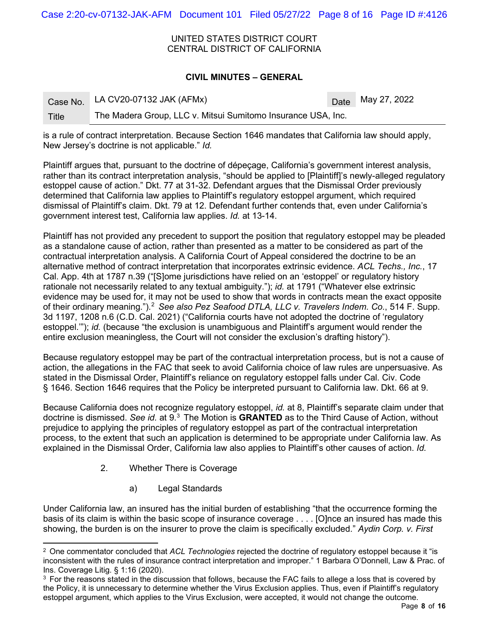Case 2:20-cv-07132-JAK-AFM Document 101 Filed 05/27/22 Page 8 of 16 Page ID #:4126

UNITED STATES DISTRICT COURT CENTRAL DISTRICT OF CALIFORNIA

#### **CIVIL MINUTES – GENERAL**

|              | Case No. LA CV20-07132 JAK (AFMx)                            | Date May 27, 2022 |
|--------------|--------------------------------------------------------------|-------------------|
| <b>Title</b> | The Madera Group, LLC v. Mitsui Sumitomo Insurance USA, Inc. |                   |

is a rule of contract interpretation. Because Section 1646 mandates that California law should apply, New Jersey's doctrine is not applicable." *Id.*

Plaintiff argues that, pursuant to the doctrine of dépeçage, California's government interest analysis, rather than its contract interpretation analysis, "should be applied to [Plaintiff]'s newly-alleged regulatory estoppel cause of action." Dkt. 77 at 31-32. Defendant argues that the Dismissal Order previously determined that California law applies to Plaintiff's regulatory estoppel argument, which required dismissal of Plaintiff's claim. Dkt. 79 at 12. Defendant further contends that, even under California's government interest test, California law applies. *Id.* at 13-14.

Plaintiff has not provided any precedent to support the position that regulatory estoppel may be pleaded as a standalone cause of action, rather than presented as a matter to be considered as part of the contractual interpretation analysis. A California Court of Appeal considered the doctrine to be an alternative method of contract interpretation that incorporates extrinsic evidence. *ACL Techs., Inc.*, 17 Cal. App. 4th at 1787 n.39 ("[S]ome jurisdictions have relied on an 'estoppel' or regulatory history rationale not necessarily related to any textual ambiguity."); *id.* at 1791 ("Whatever else extrinsic evidence may be used for, it may not be used to show that words in contracts mean the exact opposite of their ordinary meaning.").[2](#page-7-0) *See also Pez Seafood DTLA, LLC v. Travelers Indem. Co.*, 514 F. Supp. 3d 1197, 1208 n.6 (C.D. Cal. 2021) ("California courts have not adopted the doctrine of 'regulatory estoppel.""); *id.* (because "the exclusion is unambiguous and Plaintiff's argument would render the entire exclusion meaningless, the Court will not consider the exclusion's drafting history").

Because regulatory estoppel may be part of the contractual interpretation process, but is not a cause of action, the allegations in the FAC that seek to avoid California choice of law rules are unpersuasive. As stated in the Dismissal Order, Plaintiff's reliance on regulatory estoppel falls under Cal. Civ. Code § 1646. Section 1646 requires that the Policy be interpreted pursuant to California law. Dkt. 66 at 9.

Because California does not recognize regulatory estoppel, *id.* at 8, Plaintiff's separate claim under that doctrine is dismissed. *See id.* at 9[.3](#page-7-1) The Motion is **GRANTED** as to the Third Cause of Action, without prejudice to applying the principles of regulatory estoppel as part of the contractual interpretation process, to the extent that such an application is determined to be appropriate under California law. As explained in the Dismissal Order, California law also applies to Plaintiff's other causes of action. *Id.*

- 2. Whether There is Coverage
	- a) Legal Standards

Under California law, an insured has the initial burden of establishing "that the occurrence forming the basis of its claim is within the basic scope of insurance coverage . . . . [O]nce an insured has made this showing, the burden is on the insurer to prove the claim is specifically excluded." *Aydin Corp. v. First* 

<span id="page-7-0"></span><sup>2</sup> One commentator concluded that *ACL Technologies* rejected the doctrine of regulatory estoppel because it "is inconsistent with the rules of insurance contract interpretation and improper." 1 Barbara O'Donnell, Law & Prac. of Ins. Coverage Litig. § 1:16 (2020).

<span id="page-7-1"></span><sup>&</sup>lt;sup>3</sup> For the reasons stated in the discussion that follows, because the FAC fails to allege a loss that is covered by the Policy, it is unnecessary to determine whether the Virus Exclusion applies. Thus, even if Plaintiff's regulatory estoppel argument, which applies to the Virus Exclusion, were accepted, it would not change the outcome.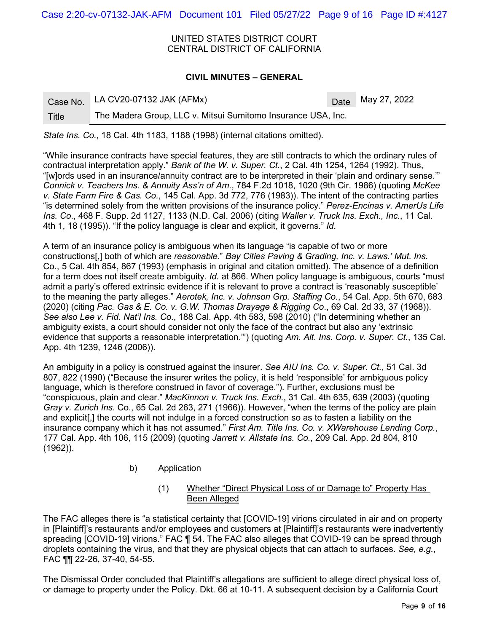Case 2:20-cv-07132-JAK-AFM Document 101 Filed 05/27/22 Page 9 of 16 Page ID #:4127

UNITED STATES DISTRICT COURT CENTRAL DISTRICT OF CALIFORNIA

#### **CIVIL MINUTES – GENERAL**

|       | Case No. LA CV20-07132 JAK (AFMx)                            | Date May 27, 2022 |
|-------|--------------------------------------------------------------|-------------------|
| Title | The Madera Group, LLC v. Mitsui Sumitomo Insurance USA, Inc. |                   |

*State Ins. Co.*, 18 Cal. 4th 1183, 1188 (1998) (internal citations omitted).

"While insurance contracts have special features, they are still contracts to which the ordinary rules of contractual interpretation apply." *Bank of the W. v. Super. Ct.*, 2 Cal. 4th 1254, 1264 (1992). Thus, "[w]ords used in an insurance/annuity contract are to be interpreted in their 'plain and ordinary sense.'" *Connick v. Teachers Ins. & Annuity Ass'n of Am.*, 784 F.2d 1018, 1020 (9th Cir. 1986) (quoting *McKee v. State Farm Fire & Cas. Co.*, 145 Cal. App. 3d 772, 776 (1983)). The intent of the contracting parties "is determined solely from the written provisions of the insurance policy." *Perez-Encinas v. AmerUs Life Ins. Co*., 468 F. Supp. 2d 1127, 1133 (N.D. Cal. 2006) (citing *Waller v. Truck Ins. Exch., Inc.*, 11 Cal. 4th 1, 18 (1995)). "If the policy language is clear and explicit, it governs." *Id*.

A term of an insurance policy is ambiguous when its language "is capable of two or more constructions[,] both of which are *reasonable*." *Bay Cities Paving & Grading, Inc. v. Laws.' Mut. Ins*. Co., 5 Cal. 4th 854, 867 (1993) (emphasis in original and citation omitted). The absence of a definition for a term does not itself create ambiguity. *Id.* at 866. When policy language is ambiguous, courts "must admit a party's offered extrinsic evidence if it is relevant to prove a contract is 'reasonably susceptible' to the meaning the party alleges." *Aerotek, Inc. v. Johnson Grp. Staffing Co.*, 54 Cal. App. 5th 670, 683 (2020) (citing *Pac. Gas & E. Co. v. G.W. Thomas Drayage & Rigging Co*., 69 Cal. 2d 33, 37 (1968)). *See also Lee v. Fid. Nat'l Ins. Co*., 188 Cal. App. 4th 583, 598 (2010) ("In determining whether an ambiguity exists, a court should consider not only the face of the contract but also any 'extrinsic evidence that supports a reasonable interpretation.'") (quoting *Am. Alt. Ins. Corp. v. Super. Ct.*, 135 Cal. App. 4th 1239, 1246 (2006)).

An ambiguity in a policy is construed against the insurer. *See AIU Ins. Co. v. Super. Ct.*, 51 Cal. 3d 807, 822 (1990) ("Because the insurer writes the policy, it is held 'responsible' for ambiguous policy language, which is therefore construed in favor of coverage."). Further, exclusions must be "conspicuous, plain and clear." *MacKinnon v. Truck Ins. Exch.*, 31 Cal. 4th 635, 639 (2003) (quoting *Gray v. Zurich Ins*. Co., 65 Cal. 2d 263, 271 (1966)). However, "when the terms of the policy are plain and explicit[,] the courts will not indulge in a forced construction so as to fasten a liability on the insurance company which it has not assumed." *First Am. Title Ins. Co. v. XWarehouse Lending Corp.*, 177 Cal. App. 4th 106, 115 (2009) (quoting *Jarrett v. Allstate Ins. Co.*, 209 Cal. App. 2d 804, 810 (1962)).

- b) Application
	- (1) Whether "Direct Physical Loss of or Damage to" Property Has Been Alleged

The FAC alleges there is "a statistical certainty that [COVID-19] virions circulated in air and on property in [Plaintiff]'s restaurants and/or employees and customers at [Plaintiff]'s restaurants were inadvertently spreading [COVID-19] virions." FAC ¶ 54. The FAC also alleges that COVID-19 can be spread through droplets containing the virus, and that they are physical objects that can attach to surfaces. *See, e.g.*, FAC ¶¶ 22-26, 37-40, 54-55.

The Dismissal Order concluded that Plaintiff's allegations are sufficient to allege direct physical loss of, or damage to property under the Policy. Dkt. 66 at 10-11. A subsequent decision by a California Court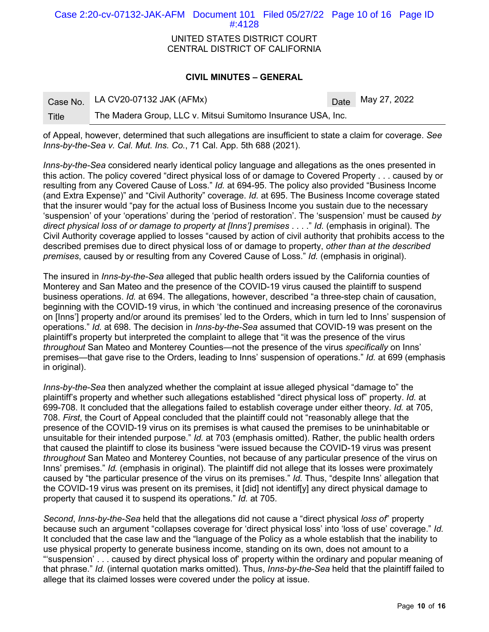Case 2:20-cv-07132-JAK-AFM Document 101 Filed 05/27/22 Page 10 of 16 Page ID #:4128

#### UNITED STATES DISTRICT COURT CENTRAL DISTRICT OF CALIFORNIA

#### **CIVIL MINUTES – GENERAL**

|       | Case No. LA CV20-07132 JAK (AFMx)                            | Date May 27, 2022 |
|-------|--------------------------------------------------------------|-------------------|
| Title | The Madera Group, LLC v. Mitsui Sumitomo Insurance USA, Inc. |                   |

of Appeal, however, determined that such allegations are insufficient to state a claim for coverage. *See Inns-by-the-Sea v. Cal. Mut. Ins. Co.*, 71 Cal. App. 5th 688 (2021).

*Inns-by-the-Sea* considered nearly identical policy language and allegations as the ones presented in this action. The policy covered "direct physical loss of or damage to Covered Property . . . caused by or resulting from any Covered Cause of Loss." *Id.* at 694-95. The policy also provided "Business Income (and Extra Expense)" and "Civil Authority" coverage. *Id.* at 695. The Business Income coverage stated that the insurer would "pay for the actual loss of Business Income you sustain due to the necessary 'suspension' of your 'operations' during the 'period of restoration'. The 'suspension' must be caused *by direct physical loss of or damage to property at [Inns'] premises* . . . ." *Id.* (emphasis in original). The Civil Authority coverage applied to losses "caused by action of civil authority that prohibits access to the described premises due to direct physical loss of or damage to property, *other than at the described premises*, caused by or resulting from any Covered Cause of Loss." *Id.* (emphasis in original).

The insured in *Inns-by-the-Sea* alleged that public health orders issued by the California counties of Monterey and San Mateo and the presence of the COVID-19 virus caused the plaintiff to suspend business operations. *Id.* at 694. The allegations, however, described "a three-step chain of causation, beginning with the COVID-19 virus, in which 'the continued and increasing presence of the coronavirus on [Inns'] property and/or around its premises' led to the Orders, which in turn led to Inns' suspension of operations." *Id.* at 698. The decision in *Inns-by-the-Sea* assumed that COVID-19 was present on the plaintiff's property but interpreted the complaint to allege that "it was the presence of the virus *throughout* San Mateo and Monterey Counties—not the presence of the virus *specifically* on Inns' premises—that gave rise to the Orders, leading to Inns' suspension of operations." *Id.* at 699 (emphasis in original).

*Inns-by-the-Sea* then analyzed whether the complaint at issue alleged physical "damage to" the plaintiff's property and whether such allegations established "direct physical loss of" property. *Id.* at 699-708. It concluded that the allegations failed to establish coverage under either theory. *Id.* at 705, 708. *First*, the Court of Appeal concluded that the plaintiff could not "reasonably allege that the presence of the COVID-19 virus on its premises is what caused the premises to be uninhabitable or unsuitable for their intended purpose." *Id.* at 703 (emphasis omitted). Rather, the public health orders that caused the plaintiff to close its business "were issued because the COVID-19 virus was present *throughout* San Mateo and Monterey Counties, not because of any particular presence of the virus on Inns' premises." *Id.* (emphasis in original). The plaintiff did not allege that its losses were proximately caused by "the particular presence of the virus on its premises." *Id.* Thus, "despite Inns' allegation that the COVID-19 virus was present on its premises, it [did] not identif[y] any direct physical damage to property that caused it to suspend its operations." *Id.* at 705.

*Second*, *Inns-by-the-Sea* held that the allegations did not cause a "direct physical *loss of*" property because such an argument "collapses coverage for 'direct physical loss' into 'loss of use' coverage." *Id.* It concluded that the case law and the "language of the Policy as a whole establish that the inability to use physical property to generate business income, standing on its own, does not amount to a "'suspension' . . . caused by direct physical loss of' property within the ordinary and popular meaning of that phrase." *Id.* (internal quotation marks omitted). Thus, *Inns-by-the-Sea* held that the plaintiff failed to allege that its claimed losses were covered under the policy at issue.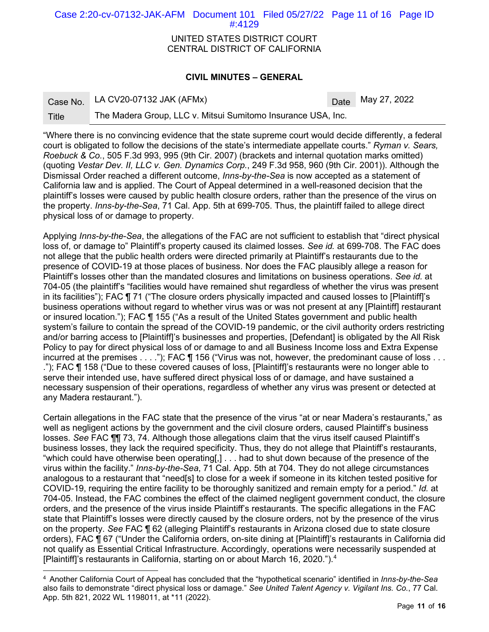Case 2:20-cv-07132-JAK-AFM Document 101 Filed 05/27/22 Page 11 of 16 Page ID #:4129

> UNITED STATES DISTRICT COURT CENTRAL DISTRICT OF CALIFORNIA

#### **CIVIL MINUTES – GENERAL**

Case No. LA CV20-07132 JAK  $(AFMx)$  Date May 27, 2022

Title The Madera Group, LLC v. Mitsui Sumitomo Insurance USA, Inc.

"Where there is no convincing evidence that the state supreme court would decide differently, a federal court is obligated to follow the decisions of the state's intermediate appellate courts." *Ryman v. Sears, Roebuck & Co.*, 505 F.3d 993, 995 (9th Cir. 2007) (brackets and internal quotation marks omitted) (quoting *Vestar Dev. II, LLC v. Gen. Dynamics Corp.*, 249 F.3d 958, 960 (9th Cir. 2001)). Although the Dismissal Order reached a different outcome, *Inns-by-the-Sea* is now accepted as a statement of California law and is applied. The Court of Appeal determined in a well-reasoned decision that the plaintiff's losses were caused by public health closure orders, rather than the presence of the virus on the property. *Inns-by-the-Sea*, 71 Cal. App. 5th at 699-705. Thus, the plaintiff failed to allege direct physical loss of or damage to property.

Applying *Inns-by-the-Sea*, the allegations of the FAC are not sufficient to establish that "direct physical loss of, or damage to" Plaintiff's property caused its claimed losses. *See id.* at 699-708. The FAC does not allege that the public health orders were directed primarily at Plaintiff's restaurants due to the presence of COVID-19 at those places of business. Nor does the FAC plausibly allege a reason for Plaintiff's losses other than the mandated closures and limitations on business operations. *See id.* at 704-05 (the plaintiff's "facilities would have remained shut regardless of whether the virus was present in its facilities"); FAC ¶ 71 ("The closure orders physically impacted and caused losses to [Plaintiff]'s business operations without regard to whether virus was or was not present at any [Plaintiff] restaurant or insured location."); FAC ¶ 155 ("As a result of the United States government and public health system's failure to contain the spread of the COVID-19 pandemic, or the civil authority orders restricting and/or barring access to [Plaintiff]'s businesses and properties, [Defendant] is obligated by the All Risk Policy to pay for direct physical loss of or damage to and all Business Income loss and Extra Expense incurred at the premises . . . ."); FAC  $\P$  156 ("Virus was not, however, the predominant cause of loss . . . ."); FAC ¶ 158 ("Due to these covered causes of loss, [Plaintiff]'s restaurants were no longer able to serve their intended use, have suffered direct physical loss of or damage, and have sustained a necessary suspension of their operations, regardless of whether any virus was present or detected at any Madera restaurant.").

Certain allegations in the FAC state that the presence of the virus "at or near Madera's restaurants," as well as negligent actions by the government and the civil closure orders, caused Plaintiff's business losses. *See* FAC ¶¶ 73, 74. Although those allegations claim that the virus itself caused Plaintiff's business losses, they lack the required specificity. Thus, they do not allege that Plaintiff's restaurants, "which could have otherwise been operating[,] . . . had to shut down because of the presence of the virus within the facility." *Inns-by-the-Sea*, 71 Cal. App. 5th at 704. They do not allege circumstances analogous to a restaurant that "need[s] to close for a week if someone in its kitchen tested positive for COVID-19, requiring the entire facility to be thoroughly sanitized and remain empty for a period." *Id.* at 704-05. Instead, the FAC combines the effect of the claimed negligent government conduct, the closure orders, and the presence of the virus inside Plaintiff's restaurants. The specific allegations in the FAC state that Plaintiff's losses were directly caused by the closure orders, not by the presence of the virus on the property. *See* FAC ¶ 62 (alleging Plaintiff's restaurants in Arizona closed due to state closure orders), FAC ¶ 67 ("Under the California orders, on-site dining at [Plaintiff]'s restaurants in California did not qualify as Essential Critical Infrastructure. Accordingly, operations were necessarily suspended at [Plaintiff]'s restaurants in California, starting on or about March 16, 2020.").[4](#page-10-0)

<span id="page-10-0"></span><sup>4</sup> Another California Court of Appeal has concluded that the "hypothetical scenario" identified in *Inns-by-the-Sea* also fails to demonstrate "direct physical loss or damage." *See United Talent Agency v. Vigilant Ins. Co.*, 77 Cal. App. 5th 821, 2022 WL 1198011, at \*11 (2022).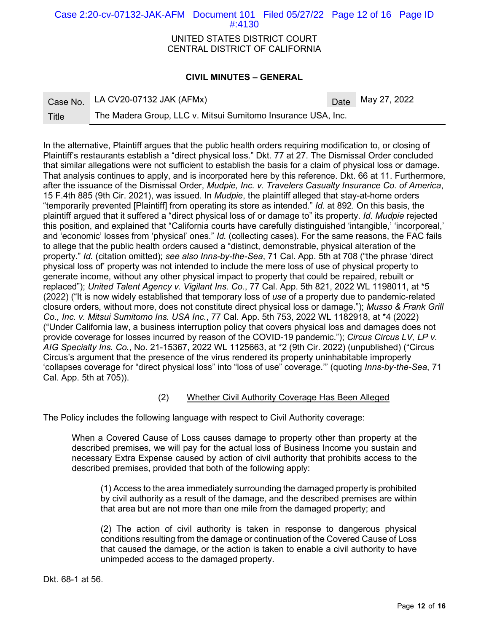## Case 2:20-cv-07132-JAK-AFM Document 101 Filed 05/27/22 Page 12 of 16 Page ID #:4130

#### UNITED STATES DISTRICT COURT CENTRAL DISTRICT OF CALIFORNIA

## **CIVIL MINUTES – GENERAL**

|  | Case No. LA CV20-07132 JAK (AFMx) |
|--|-----------------------------------|
|--|-----------------------------------|

Date May 27, 2022

Title The Madera Group, LLC v. Mitsui Sumitomo Insurance USA, Inc.

In the alternative, Plaintiff argues that the public health orders requiring modification to, or closing of Plaintiff's restaurants establish a "direct physical loss." Dkt. 77 at 27. The Dismissal Order concluded that similar allegations were not sufficient to establish the basis for a claim of physical loss or damage. That analysis continues to apply, and is incorporated here by this reference. Dkt. 66 at 11. Furthermore, after the issuance of the Dismissal Order, *Mudpie, Inc. v. Travelers Casualty Insurance Co. of America*, 15 F.4th 885 (9th Cir. 2021), was issued. In *Mudpie*, the plaintiff alleged that stay-at-home orders "temporarily prevented [Plaintiff] from operating its store as intended." *Id.* at 892. On this basis, the plaintiff argued that it suffered a "direct physical loss of or damage to" its property. *Id. Mudpie* rejected this position, and explained that "California courts have carefully distinguished 'intangible,' 'incorporeal,' and 'economic' losses from 'physical' ones." *Id.* (collecting cases). For the same reasons, the FAC fails to allege that the public health orders caused a "distinct, demonstrable, physical alteration of the property." *Id.* (citation omitted); *see also Inns-by-the-Sea*, 71 Cal. App. 5th at 708 ("the phrase 'direct physical loss of' property was not intended to include the mere loss of use of physical property to generate income, without any other physical impact to property that could be repaired, rebuilt or replaced"); *United Talent Agency v. Vigilant Ins. Co.*, 77 Cal. App. 5th 821, 2022 WL 1198011, at \*5 (2022) ("It is now widely established that temporary loss of *use* of a property due to pandemic-related closure orders, without more, does not constitute direct physical loss or damage."); *Musso & Frank Grill Co., Inc. v. Mitsui Sumitomo Ins. USA Inc.*, 77 Cal. App. 5th 753, 2022 WL 1182918, at \*4 (2022) ("Under California law, a business interruption policy that covers physical loss and damages does not provide coverage for losses incurred by reason of the COVID-19 pandemic."); *Circus Circus LV, LP v. AIG Specialty Ins. Co.*, No. 21-15367, 2022 WL 1125663, at \*2 (9th Cir. 2022) (unpublished) ("Circus Circus's argument that the presence of the virus rendered its property uninhabitable improperly 'collapses coverage for "direct physical loss" into "loss of use" coverage.'" (quoting *Inns-by-the-Sea*, 71 Cal. App. 5th at 705)).

# (2) Whether Civil Authority Coverage Has Been Alleged

The Policy includes the following language with respect to Civil Authority coverage:

When a Covered Cause of Loss causes damage to property other than property at the described premises, we will pay for the actual loss of Business Income you sustain and necessary Extra Expense caused by action of civil authority that prohibits access to the described premises, provided that both of the following apply:

(1) Access to the area immediately surrounding the damaged property is prohibited by civil authority as a result of the damage, and the described premises are within that area but are not more than one mile from the damaged property; and

(2) The action of civil authority is taken in response to dangerous physical conditions resulting from the damage or continuation of the Covered Cause of Loss that caused the damage, or the action is taken to enable a civil authority to have unimpeded access to the damaged property.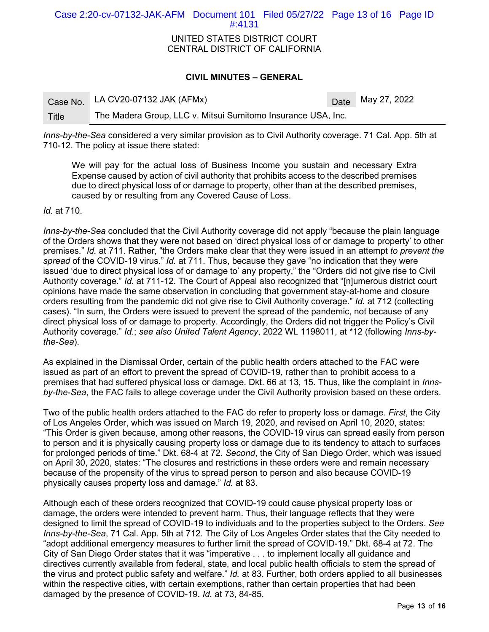Case 2:20-cv-07132-JAK-AFM Document 101 Filed 05/27/22 Page 13 of 16 Page ID #:4131

#### UNITED STATES DISTRICT COURT CENTRAL DISTRICT OF CALIFORNIA

#### **CIVIL MINUTES – GENERAL**

|       | Case No. LA CV20-07132 JAK (AFMx)                            | Date May 27, 2022 |
|-------|--------------------------------------------------------------|-------------------|
| Title | The Madera Group, LLC v. Mitsui Sumitomo Insurance USA, Inc. |                   |

*Inns-by-the-Sea* considered a very similar provision as to Civil Authority coverage. 71 Cal. App. 5th at 710-12. The policy at issue there stated:

We will pay for the actual loss of Business Income you sustain and necessary Extra Expense caused by action of civil authority that prohibits access to the described premises due to direct physical loss of or damage to property, other than at the described premises, caused by or resulting from any Covered Cause of Loss.

*Id.* at 710.

*Inns-by-the-Sea* concluded that the Civil Authority coverage did not apply "because the plain language of the Orders shows that they were not based on 'direct physical loss of or damage to property' to other premises." *Id.* at 711. Rather, "the Orders make clear that they were issued in an attempt *to prevent the spread* of the COVID-19 virus." *Id.* at 711. Thus, because they gave "no indication that they were issued 'due to direct physical loss of or damage to' any property," the "Orders did not give rise to Civil Authority coverage." *Id.* at 711-12. The Court of Appeal also recognized that "[n]umerous district court opinions have made the same observation in concluding that government stay-at-home and closure orders resulting from the pandemic did not give rise to Civil Authority coverage." *Id.* at 712 (collecting cases). "In sum, the Orders were issued to prevent the spread of the pandemic, not because of any direct physical loss of or damage to property. Accordingly, the Orders did not trigger the Policy's Civil Authority coverage." *Id.*; *see also United Talent Agency*, 2022 WL 1198011, at \*12 (following *Inns-bythe-Sea*).

As explained in the Dismissal Order, certain of the public health orders attached to the FAC were issued as part of an effort to prevent the spread of COVID-19, rather than to prohibit access to a premises that had suffered physical loss or damage. Dkt. 66 at 13, 15. Thus, like the complaint in *Innsby-the-Sea*, the FAC fails to allege coverage under the Civil Authority provision based on these orders.

Two of the public health orders attached to the FAC do refer to property loss or damage. *First*, the City of Los Angeles Order, which was issued on March 19, 2020, and revised on April 10, 2020, states: "This Order is given because, among other reasons, the COVID-19 virus can spread easily from person to person and it is physically causing property loss or damage due to its tendency to attach to surfaces for prolonged periods of time." Dkt. 68-4 at 72. *Second*, the City of San Diego Order, which was issued on April 30, 2020, states: "The closures and restrictions in these orders were and remain necessary because of the propensity of the virus to spread person to person and also because COVID-19 physically causes property loss and damage." *Id.* at 83.

Although each of these orders recognized that COVID-19 could cause physical property loss or damage, the orders were intended to prevent harm. Thus, their language reflects that they were designed to limit the spread of COVID-19 to individuals and to the properties subject to the Orders. *See Inns-by-the-Sea*, 71 Cal. App. 5th at 712. The City of Los Angeles Order states that the City needed to "adopt additional emergency measures to further limit the spread of COVID-19." Dkt. 68-4 at 72. The City of San Diego Order states that it was "imperative . . . to implement locally all guidance and directives currently available from federal, state, and local public health officials to stem the spread of the virus and protect public safety and welfare." *Id.* at 83. Further, both orders applied to all businesses within the respective cities, with certain exemptions, rather than certain properties that had been damaged by the presence of COVID-19. *Id.* at 73, 84-85.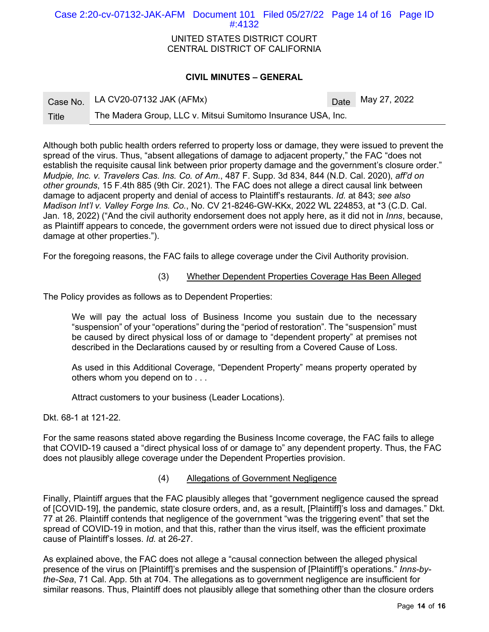# Case 2:20-cv-07132-JAK-AFM Document 101 Filed 05/27/22 Page 14 of 16 Page ID #:4132

#### UNITED STATES DISTRICT COURT CENTRAL DISTRICT OF CALIFORNIA

# **CIVIL MINUTES – GENERAL**

|       | Case No. LA CV20-07132 JAK (AFMx)                            |  | $\sqrt{\text{Date}}$ May 27, 2022 |
|-------|--------------------------------------------------------------|--|-----------------------------------|
| Title | The Madera Group, LLC v. Mitsui Sumitomo Insurance USA, Inc. |  |                                   |

Although both public health orders referred to property loss or damage, they were issued to prevent the spread of the virus. Thus, "absent allegations of damage to adjacent property," the FAC "does not establish the requisite causal link between prior property damage and the government's closure order." *Mudpie, Inc. v. Travelers Cas. Ins. Co. of Am.*, 487 F. Supp. 3d 834, 844 (N.D. Cal. 2020), *aff'd on other grounds*, 15 F.4th 885 (9th Cir. 2021). The FAC does not allege a direct causal link between damage to adjacent property and denial of access to Plaintiff's restaurants. *Id.* at 843; *see also Madison Int'l v. Valley Forge Ins. Co.*, No. CV 21-8246-GW-KKx, 2022 WL 224853, at \*3 (C.D. Cal. Jan. 18, 2022) ("And the civil authority endorsement does not apply here, as it did not in *Inns*, because, as Plaintiff appears to concede, the government orders were not issued due to direct physical loss or damage at other properties.").

For the foregoing reasons, the FAC fails to allege coverage under the Civil Authority provision.

#### (3) Whether Dependent Properties Coverage Has Been Alleged

The Policy provides as follows as to Dependent Properties:

We will pay the actual loss of Business Income you sustain due to the necessary "suspension" of your "operations" during the "period of restoration". The "suspension" must be caused by direct physical loss of or damage to "dependent property" at premises not described in the Declarations caused by or resulting from a Covered Cause of Loss.

As used in this Additional Coverage, "Dependent Property" means property operated by others whom you depend on to . . .

Attract customers to your business (Leader Locations).

Dkt. 68-1 at 121-22.

For the same reasons stated above regarding the Business Income coverage, the FAC fails to allege that COVID-19 caused a "direct physical loss of or damage to" any dependent property. Thus, the FAC does not plausibly allege coverage under the Dependent Properties provision.

(4) Allegations of Government Negligence

Finally, Plaintiff argues that the FAC plausibly alleges that "government negligence caused the spread of [COVID-19], the pandemic, state closure orders, and, as a result, [Plaintiff]'s loss and damages." Dkt. 77 at 26. Plaintiff contends that negligence of the government "was the triggering event" that set the spread of COVID-19 in motion, and that this, rather than the virus itself, was the efficient proximate cause of Plaintiff's losses. *Id.* at 26-27.

As explained above, the FAC does not allege a "causal connection between the alleged physical presence of the virus on [Plaintiff]'s premises and the suspension of [Plaintiff]'s operations." *Inns-bythe-Sea*, 71 Cal. App. 5th at 704. The allegations as to government negligence are insufficient for similar reasons. Thus, Plaintiff does not plausibly allege that something other than the closure orders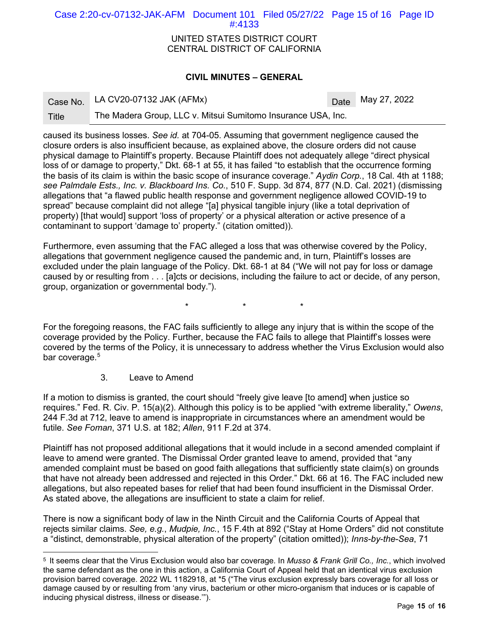Case 2:20-cv-07132-JAK-AFM Document 101 Filed 05/27/22 Page 15 of 16 Page ID #:4133

> UNITED STATES DISTRICT COURT CENTRAL DISTRICT OF CALIFORNIA

#### **CIVIL MINUTES – GENERAL**

| Case No | LA CV20-07132 JAK (AFMx) |  |
|---------|--------------------------|--|
|         |                          |  |

Date May 27, 2022

Title The Madera Group, LLC v. Mitsui Sumitomo Insurance USA, Inc.

caused its business losses. *See id.* at 704-05. Assuming that government negligence caused the closure orders is also insufficient because, as explained above, the closure orders did not cause physical damage to Plaintiff's property. Because Plaintiff does not adequately allege "direct physical loss of or damage to property," Dkt. 68-1 at 55, it has failed "to establish that the occurrence forming the basis of its claim is within the basic scope of insurance coverage." *Aydin Corp.*, 18 Cal. 4th at 1188; *see Palmdale Ests., Inc. v. Blackboard Ins. Co.*, 510 F. Supp. 3d 874, 877 (N.D. Cal. 2021) (dismissing allegations that "a flawed public health response and government negligence allowed COVID-19 to spread" because complaint did not allege "[a] physical tangible injury (like a total deprivation of property) [that would] support 'loss of property' or a physical alteration or active presence of a contaminant to support 'damage to' property." (citation omitted)).

Furthermore, even assuming that the FAC alleged a loss that was otherwise covered by the Policy, allegations that government negligence caused the pandemic and, in turn, Plaintiff's losses are excluded under the plain language of the Policy. Dkt. 68-1 at 84 ("We will not pay for loss or damage caused by or resulting from . . . [a]cts or decisions, including the failure to act or decide, of any person, group, organization or governmental body.").

\* \* \*

For the foregoing reasons, the FAC fails sufficiently to allege any injury that is within the scope of the coverage provided by the Policy. Further, because the FAC fails to allege that Plaintiff's losses were covered by the terms of the Policy, it is unnecessary to address whether the Virus Exclusion would also bar coverage.<sup>[5](#page-14-0)</sup>

3. Leave to Amend

If a motion to dismiss is granted, the court should "freely give leave [to amend] when justice so requires." Fed. R. Civ. P. 15(a)(2). Although this policy is to be applied "with extreme liberality," *Owens*, 244 F.3d at 712, leave to amend is inappropriate in circumstances where an amendment would be futile. *See Foman*, 371 U.S. at 182; *Allen*, 911 F.2d at 374.

Plaintiff has not proposed additional allegations that it would include in a second amended complaint if leave to amend were granted. The Dismissal Order granted leave to amend, provided that "any amended complaint must be based on good faith allegations that sufficiently state claim(s) on grounds that have not already been addressed and rejected in this Order." Dkt. 66 at 16. The FAC included new allegations, but also repeated bases for relief that had been found insufficient in the Dismissal Order. As stated above, the allegations are insufficient to state a claim for relief.

There is now a significant body of law in the Ninth Circuit and the California Courts of Appeal that rejects similar claims. *See, e.g.*, *Mudpie, Inc.*, 15 F.4th at 892 ("Stay at Home Orders" did not constitute a "distinct, demonstrable, physical alteration of the property" (citation omitted)); *Inns-by-the-Sea*, 71

<span id="page-14-0"></span><sup>5</sup> It seems clear that the Virus Exclusion would also bar coverage. In *Musso & Frank Grill Co., Inc.*, which involved the same defendant as the one in this action, a California Court of Appeal held that an identical virus exclusion provision barred coverage. 2022 WL 1182918, at \*5 ("The virus exclusion expressly bars coverage for all loss or damage caused by or resulting from 'any virus, bacterium or other micro-organism that induces or is capable of inducing physical distress, illness or disease.'").